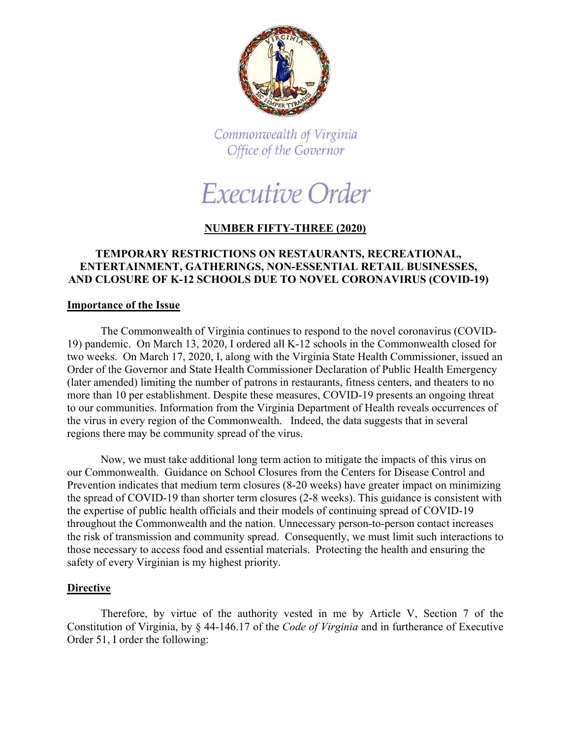

Commonwealth of Virginia Office of the Governor

# Executive Order

## **NUMBER FIFTY-THREE (2020)**

## **TEMPORARY RESTRICTIONS ON RESTAURANTS, RECREATIONAL, ENTERTAINMENT, GATHERINGS, NON-ESSENTIAL RETAIL BUSINESSES, AND CLOSURE OF K-12 SCHOOLS DUE TO NOVEL CORONAVIRUS (COVID-19)**

### **Importance of the Issue**

The Commonwealth of Virginia continues to respond to the novel coronavirus (COVID-19) pandemic. On March 13, 2020, I ordered all K-12 schools in the Commonwealth closed for two weeks. On March 17, 2020, I, along with the Virginia State Health Commissioner, issued an Order of the Governor and State Health Commissioner Declaration of Public Health Emergency (later amended) limiting the number of patrons in restaurants, fitness centers, and theaters to no more than 10 per establishment. Despite these measures, COVID-19 presents an ongoing threat to our communities. Information from the Virginia Department of Health reveals occurrences of the virus in every region of the Commonwealth. Indeed, the data suggests that in several regions there may be community spread of the virus.

Now, we must take additional long term action to mitigate the impacts of this virus on our Commonwealth. Guidance on School Closures from the Centers for Disease Control and Prevention indicates that medium term closures (8-20 weeks) have greater impact on minimizing the spread of COVID-19 than shorter term closures (2-8 weeks). This guidance is consistent with the expertise of public health officials and their models of continuing spread of COVID-19 throughout the Commonwealth and the nation. Unnecessary person-to-person contact increases the risk of transmission and community spread. Consequently, we must limit such interactions to those necessary to access food and essential materials. Protecting the health and ensuring the safety of every Virginian is my highest priority.

#### **Directive**

Therefore, by virtue of the authority vested in me by Article V, Section 7 of the Constitution of Virginia, by § 44-146.17 of the *Code of Virginia* and in furtherance of Executive Order 51, I order the following: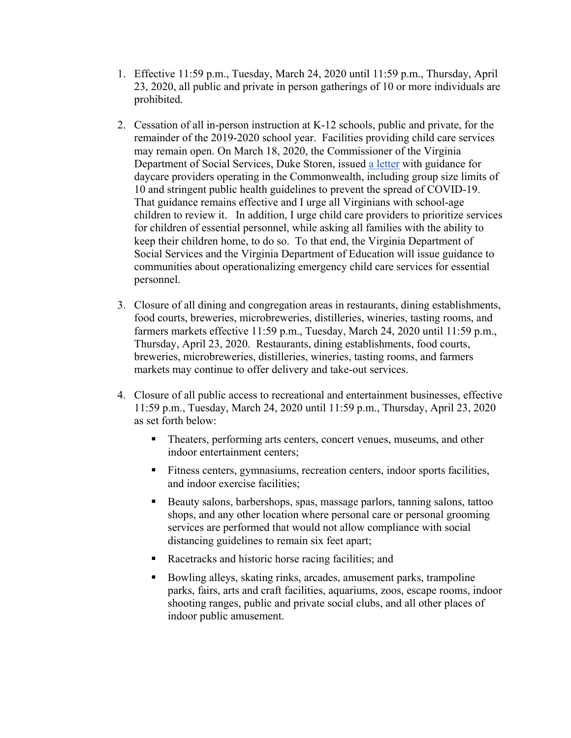- 1. Effective 11:59 p.m., Tuesday, March 24, 2020 until 11:59 p.m., Thursday, April 23, 2020, all public and private in person gatherings of 10 or more individuals are prohibited.
- 2. Cessation of all in-person instruction at K-12 schools, public and private, for the remainder of the 2019-2020 school year. Facilities providing child care services may remain open. On March 18, 2020, the Commissioner of the Virginia Department of Social Services, Duke Storen, issued a letter with guidance for daycare providers operating in the Commonwealth, including group size limits of 10 and stringent public health guidelines to prevent the spread of COVID-19. That guidance remains effective and I urge all Virginians with school-age children to review it. In addition, I urge child care providers to prioritize services for children of essential personnel, while asking all families with the ability to keep their children home, to do so. To that end, the Virginia Department of Social Services and the Virginia Department of Education will issue guidance to communities about operationalizing emergency child care services for essential personnel.
- 3. Closure of all dining and congregation areas in restaurants, dining establishments, food courts, breweries, microbreweries, distilleries, wineries, tasting rooms, and farmers markets effective 11:59 p.m., Tuesday, March 24, 2020 until 11:59 p.m., Thursday, April 23, 2020. Restaurants, dining establishments, food courts, breweries, microbreweries, distilleries, wineries, tasting rooms, and farmers markets may continue to offer delivery and take-out services.
- 4. Closure of all public access to recreational and entertainment businesses, effective 11:59 p.m., Tuesday, March 24, 2020 until 11:59 p.m., Thursday, April 23, 2020 as set forth below:
	- Theaters, performing arts centers, concert venues, museums, and other indoor entertainment centers;
	- Fitness centers, gymnasiums, recreation centers, indoor sports facilities, and indoor exercise facilities;
	- Beauty salons, barbershops, spas, massage parlors, tanning salons, tattoo shops, and any other location where personal care or personal grooming services are performed that would not allow compliance with social distancing guidelines to remain six feet apart;
	- Racetracks and historic horse racing facilities; and
	- Bowling alleys, skating rinks, arcades, amusement parks, trampoline parks, fairs, arts and craft facilities, aquariums, zoos, escape rooms, indoor shooting ranges, public and private social clubs, and all other places of indoor public amusement.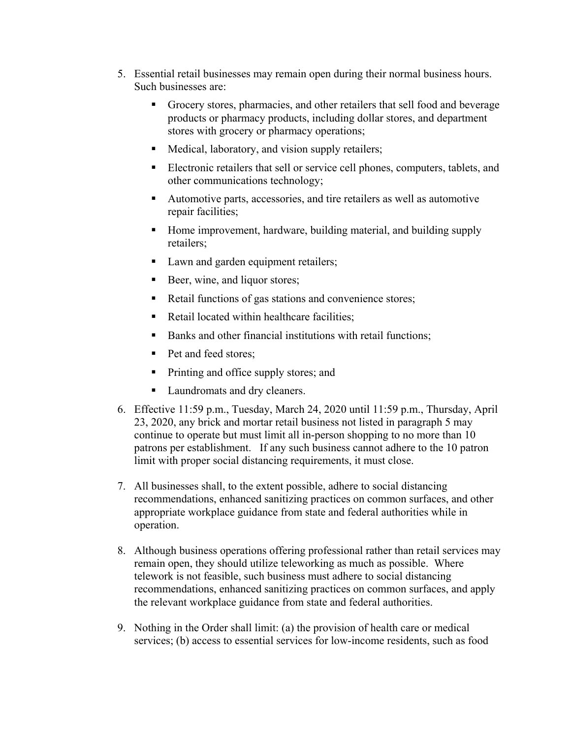- 5. Essential retail businesses may remain open during their normal business hours. Such businesses are:
	- Grocery stores, pharmacies, and other retailers that sell food and beverage products or pharmacy products, including dollar stores, and department stores with grocery or pharmacy operations;
	- Medical, laboratory, and vision supply retailers;
	- Electronic retailers that sell or service cell phones, computers, tablets, and other communications technology;
	- Automotive parts, accessories, and tire retailers as well as automotive repair facilities;
	- Home improvement, hardware, building material, and building supply retailers;
	- Lawn and garden equipment retailers;
	- Beer, wine, and liquor stores;
	- Retail functions of gas stations and convenience stores;
	- Retail located within healthcare facilities;
	- Banks and other financial institutions with retail functions;
	- Pet and feed stores;
	- Printing and office supply stores; and
	- Laundromats and dry cleaners.
- 6. Effective 11:59 p.m., Tuesday, March 24, 2020 until 11:59 p.m., Thursday, April 23, 2020, any brick and mortar retail business not listed in paragraph 5 may continue to operate but must limit all in-person shopping to no more than 10 patrons per establishment. If any such business cannot adhere to the 10 patron limit with proper social distancing requirements, it must close.
- 7. All businesses shall, to the extent possible, adhere to social distancing recommendations, enhanced sanitizing practices on common surfaces, and other appropriate workplace guidance from state and federal authorities while in operation.
- 8. Although business operations offering professional rather than retail services may remain open, they should utilize teleworking as much as possible. Where telework is not feasible, such business must adhere to social distancing recommendations, enhanced sanitizing practices on common surfaces, and apply the relevant workplace guidance from state and federal authorities.
- 9. Nothing in the Order shall limit: (a) the provision of health care or medical services; (b) access to essential services for low-income residents, such as food